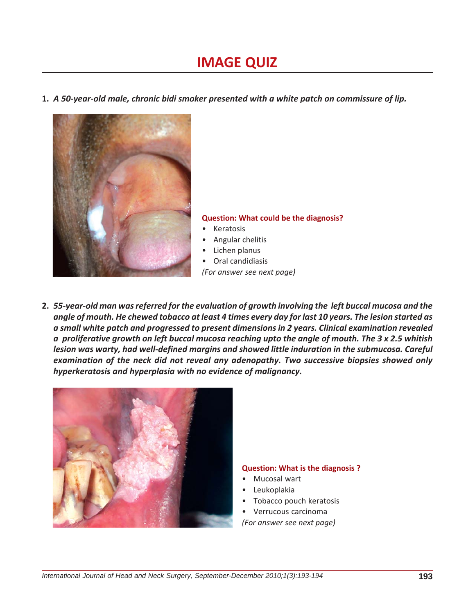# **IMAGE QUIZ**

**1.** *A 50-year-old male, chronic bidi smoker presented with a white patch on commissure of lip.*



#### **Question: What could be the diagnosis?**

- **Keratosis**
- Angular chelitis
- Lichen planus
- Oral candidiasis

*(For answer see next page)*

**2.** *55-year-old man was referred for the evaluation of growth involving the left buccal mucosa and the angle of mouth. He chewed tobacco at least 4 times every day for last 10 years. The lesion started as a small white patch and progressed to present dimensions in 2 years. Clinical examination revealed a proliferative growth on left buccal mucosa reaching upto the angle of mouth. The 3 x 2.5 whitish lesion was warty, had well-defined margins and showed little induration in the submucosa. Careful examination of the neck did not reveal any adenopathy. Two successive biopsies showed only hyperkeratosis and hyperplasia with no evidence of malignancy.*



# **Question: What is the diagnosis ?**

- Mucosal wart
- Leukoplakia
- Tobacco pouch keratosis
- Verrucous carcinoma
- *(For answer see next page)*